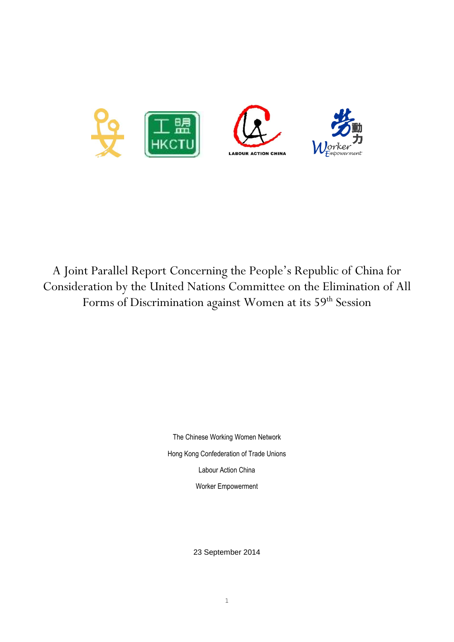

A Joint Parallel Report Concerning the People's Republic of China for Consideration by the United Nations Committee on the Elimination of All Forms of Discrimination against Women at its 59<sup>th</sup> Session

> The Chinese Working Women Network Hong Kong Confederation of Trade Unions Labour Action China Worker Empowerment

> > 23 September 2014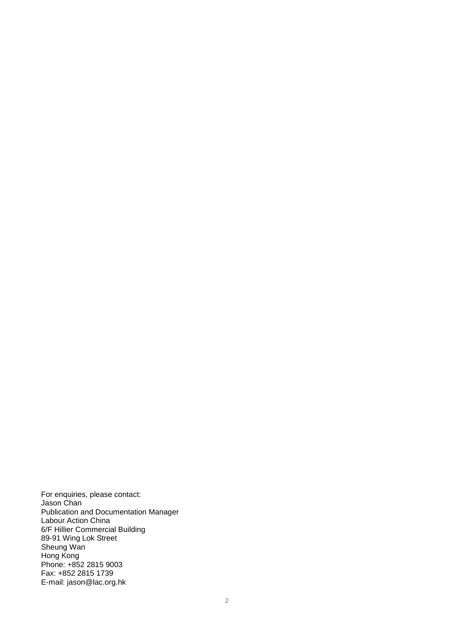For enquiries, please contact: Jason Chan Publication and Documentation Manager Labour Action China 6/F Hillier Commercial Building 89-91 Wing Lok Street Sheung Wan Hong Kong Phone: +852 2815 9003 Fax: +852 2815 1739 E-mail: jason@lac.org.hk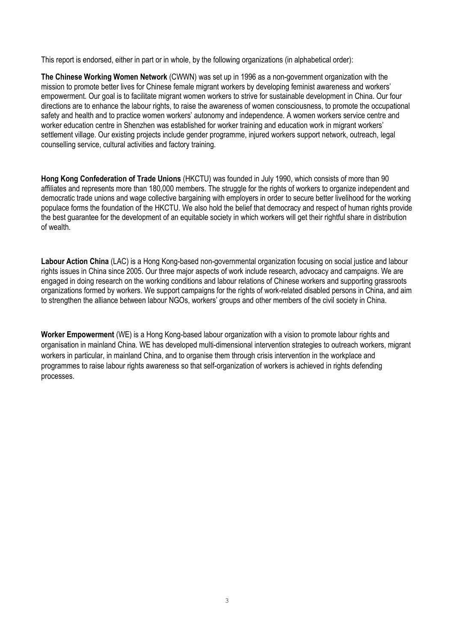This report is endorsed, either in part or in whole, by the following organizations (in alphabetical order):

**The Chinese Working Women Network** (CWWN) was set up in 1996 as a non-government organization with the mission to promote better lives for Chinese female migrant workers by developing feminist awareness and workers' empowerment. Our goal is to facilitate migrant women workers to strive for sustainable development in China. Our four directions are to enhance the labour rights, to raise the awareness of women consciousness, to promote the occupational safety and health and to practice women workers' autonomy and independence. A women workers service centre and worker education centre in Shenzhen was established for worker training and education work in migrant workers' settlement village. Our existing projects include gender programme, injured workers support network, outreach, legal counselling service, cultural activities and factory training.

**Hong Kong Confederation of Trade Unions** (HKCTU) was founded in July 1990, which consists of more than 90 affiliates and represents more than 180,000 members. The struggle for the rights of workers to organize independent and democratic trade unions and wage collective bargaining with employers in order to secure better livelihood for the working populace forms the foundation of the HKCTU. We also hold the belief that democracy and respect of human rights provide the best guarantee for the development of an equitable society in which workers will get their rightful share in distribution of wealth.

**Labour Action China** (LAC) is a Hong Kong-based non-governmental organization focusing on social justice and labour rights issues in China since 2005. Our three major aspects of work include research, advocacy and campaigns. We are engaged in doing research on the working conditions and labour relations of Chinese workers and supporting grassroots organizations formed by workers. We support campaigns for the rights of work-related disabled persons in China, and aim to strengthen the alliance between labour NGOs, workers' groups and other members of the civil society in China.

**Worker Empowerment** (WE) is a Hong Kong-based labour organization with a vision to promote labour rights and organisation in mainland China. WE has developed multi-dimensional intervention strategies to outreach workers, migrant workers in particular, in mainland China, and to organise them through crisis intervention in the workplace and programmes to raise labour rights awareness so that self-organization of workers is achieved in rights defending processes.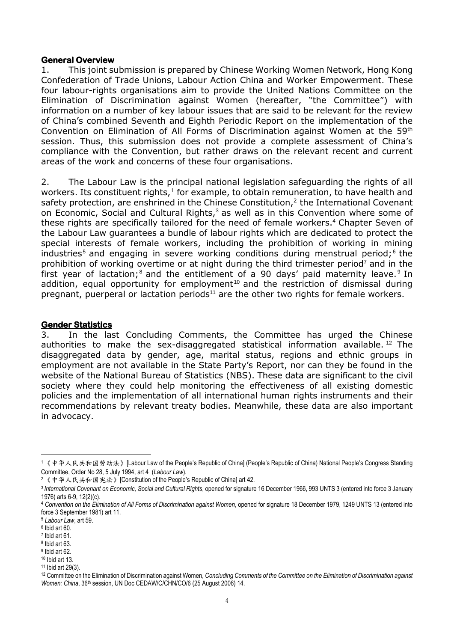### **General Overview**

1. This joint submission is prepared by Chinese Working Women Network, Hong Kong Confederation of Trade Unions, Labour Action China and Worker Empowerment. These four labour-rights organisations aim to provide the United Nations Committee on the Elimination of Discrimination against Women (hereafter, "the Committee") with information on a number of key labour issues that are said to be relevant for the review of China's combined Seventh and Eighth Periodic Report on the implementation of the Convention on Elimination of All Forms of Discrimination against Women at the 59th session. Thus, this submission does not provide a complete assessment of China's compliance with the Convention, but rather draws on the relevant recent and current areas of the work and concerns of these four organisations.

2. The Labour Law is the principal national legislation safeguarding the rights of all workers. Its constituent rights, $<sup>1</sup>$  for example, to obtain remuneration, to have health and</sup> safety protection, are enshrined in the Chinese Constitution, $2$  the International Covenant on Economic, Social and Cultural Rights, $3$  as well as in this Convention where some of these rights are specifically tailored for the need of female workers.<sup>4</sup> Chapter Seven of the Labour Law guarantees a bundle of labour rights which are dedicated to protect the special interests of female workers, including the prohibition of working in mining industries<sup>5</sup> and engaging in severe working conditions during menstrual period;<sup>6</sup> the prohibition of working overtime or at night during the third trimester period<sup>7</sup> and in the first year of lactation;<sup>8</sup> and the entitlement of a 90 days' paid maternity leave.<sup>9</sup> In addition, equal opportunity for employment<sup>10</sup> and the restriction of dismissal during pregnant, puerperal or lactation periods<sup>11</sup> are the other two rights for female workers.

### **Gender Statistics**

3. In the last Concluding Comments, the Committee has urged the Chinese authorities to make the sex-disaggregated statistical information available.  $12$  The disaggregated data by gender, age, marital status, regions and ethnic groups in employment are not available in the State Party's Report, nor can they be found in the website of the National Bureau of Statistics (NBS). These data are significant to the civil society where they could help monitoring the effectiveness of all existing domestic policies and the implementation of all international human rights instruments and their recommendations by relevant treaty bodies. Meanwhile, these data are also important in advocacy.

1

<sup>&</sup>lt;sup>1</sup>《中华人民共和国劳动法》[Labour Law of the People's Republic of China] (People's Republic of China) National People's Congress Standing Committee, Order No 28, 5 July 1994, art 4 (*Labour Law*).

<sup>&</sup>lt;sup>2</sup>《中华人民共和国宪法》[Constitution of the People's Republic of China] art 42.

<sup>3</sup> *International Covenant on Economic, Social and Cultural Rights*, opened for signature 16 December 1966, 993 UNTS 3 (entered into force 3 January 1976) arts 6-9, 12(2)(c).

<sup>4</sup> *Convention on the Elimination of All Forms of Discrimination against Women*, opened for signature 18 December 1979, 1249 UNTS 13 (entered into force 3 September 1981) art 11.

<sup>5</sup> *Labour Law*, art 59.

<sup>6</sup> Ibid art 60.

 $7$  Ibid art 61.

<sup>8</sup> Ibid art 63.

<sup>&</sup>lt;sup>9</sup> Ibid art 62. <sup>10</sup> Ibid art 13.

<sup>11</sup> Ibid art 29(3).

<sup>12</sup> Committee on the Elimination of Discrimination against Women, *Concluding Comments of the Committee on the Elimination of Discrimination against Women: China*, 36<sup>th</sup> session, UN Doc CEDAW/C/CHN/CO/6 (25 August 2006) 14.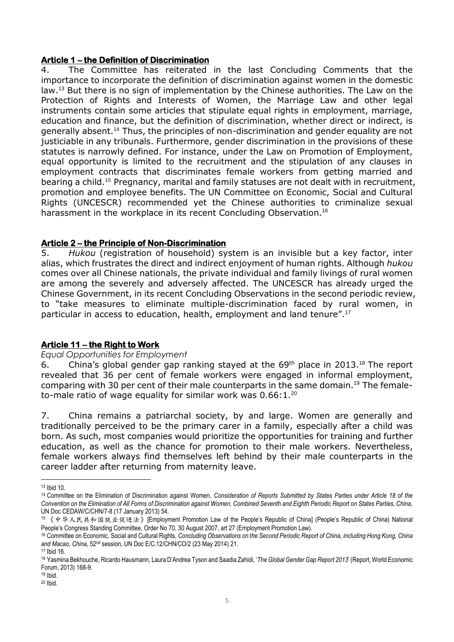## **Article 1 – the Definition of Discrimination**

4. The Committee has reiterated in the last Concluding Comments that the importance to incorporate the definition of discrimination against women in the domestic law.<sup>13</sup> But there is no sign of implementation by the Chinese authorities. The Law on the Protection of Rights and Interests of Women, the Marriage Law and other legal instruments contain some articles that stipulate equal rights in employment, marriage, education and finance, but the definition of discrimination, whether direct or indirect, is generally absent.<sup>14</sup> Thus, the principles of non-discrimination and gender equality are not justiciable in any tribunals. Furthermore, gender discrimination in the provisions of these statutes is narrowly defined. For instance, under the Law on Promotion of Employment, equal opportunity is limited to the recruitment and the stipulation of any clauses in employment contracts that discriminates female workers from getting married and bearing a child.<sup>15</sup> Pregnancy, marital and family statuses are not dealt with in recruitment, promotion and employee benefits. The UN Committee on Economic, Social and Cultural Rights (UNCESCR) recommended yet the Chinese authorities to criminalize sexual harassment in the workplace in its recent Concluding Observation.<sup>16</sup>

# **Article 2 – the Principle of Non-Discrimination**

5. *Hukou* (registration of household) system is an invisible but a key factor, inter alias, which frustrates the direct and indirect enjoyment of human rights. Although *hukou* comes over all Chinese nationals, the private individual and family livings of rural women are among the severely and adversely affected. The UNCESCR has already urged the Chinese Government, in its recent Concluding Observations in the second periodic review, to "take measures to eliminate multiple-discrimination faced by rural women, in particular in access to education, health, employment and land tenure".<sup>17</sup>

# **Article 11 – the Right to Work**

### *Equal Opportunities for Employment*

6. China's global gender gap ranking stayed at the  $69<sup>th</sup>$  place in 2013.<sup>18</sup> The report revealed that 36 per cent of female workers were engaged in informal employment, comparing with 30 per cent of their male counterparts in the same domain.<sup>19</sup> The femaleto-male ratio of wage equality for similar work was  $0.66:1.^{20}$ 

7. China remains a patriarchal society, by and large. Women are generally and traditionally perceived to be the primary carer in a family, especially after a child was born. As such, most companies would prioritize the opportunities for training and further education, as well as the chance for promotion to their male workers. Nevertheless, female workers always find themselves left behind by their male counterparts in the career ladder after returning from maternity leave.

**<sup>.</sup>** <sup>13</sup> Ibid 10.

<sup>14</sup> Committee on the Elimination of Discrimination against Women, *Consideration of Reports Submitted by States Parties under Article 18 of the Convention on the Elimination of All Forms of Discrimination against Women, Combined Seventh and Eighth Periodic Report on States Parties, China*, UN Doc CEDAW/C/CHN/7-8 (17 January 2013) 54.

<sup>15</sup> 《中华人民共和国就业促进法》[Employment Promotion Law of the People's Republic of China] (People's Republic of China) National People's Congress Standing Committee, Order No 70, 30 August 2007, art 27 (Employment Promotion Law).

<sup>16</sup> Committee on Economic, Social and Cultural Rights, *Concluding Observations on the Second Periodic Report of China, including Hong Kong, China and Macao, China*, 52nd session, UN Doc E/C.12/CHN/CO/2 (23 May 2014) 21. <sup>17</sup> Ibid 16.

<sup>18</sup> Yasmina Bekhouche, Ricardo Hausmann, Laura D'Andrea Tyson and Saadia Zahidi, '*The Global Gender Gap Report 2013*' (Report, World Economic Forum, 2013) 168-9.

 $19$  Ibid.

<sup>20</sup> Ibid.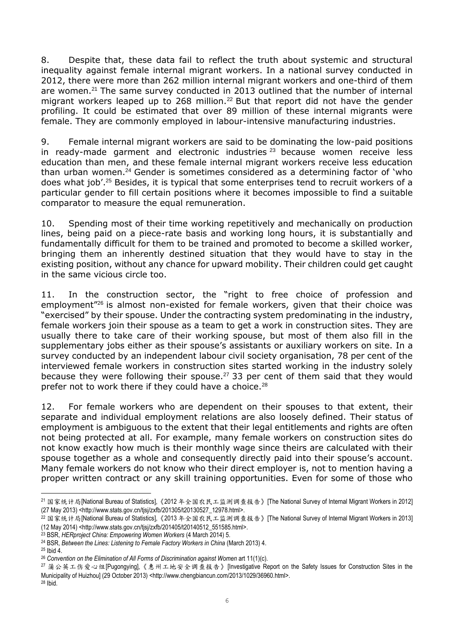8. Despite that, these data fail to reflect the truth about systemic and structural inequality against female internal migrant workers. In a national survey conducted in 2012, there were more than 262 million internal migrant workers and one-third of them are women.<sup>21</sup> The same survey conducted in 2013 outlined that the number of internal migrant workers leaped up to 268 million.<sup>22</sup> But that report did not have the gender profiling. It could be estimated that over 89 million of these internal migrants were female. They are commonly employed in labour-intensive manufacturing industries.

9. Female internal migrant workers are said to be dominating the low-paid positions in ready-made garment and electronic industries  $23$  because women receive less education than men, and these female internal migrant workers receive less education than urban women.<sup>24</sup> Gender is sometimes considered as a determining factor of 'who does what job'.<sup>25</sup> Besides, it is typical that some enterprises tend to recruit workers of a particular gender to fill certain positions where it becomes impossible to find a suitable comparator to measure the equal remuneration.

10. Spending most of their time working repetitively and mechanically on production lines, being paid on a piece-rate basis and working long hours, it is substantially and fundamentally difficult for them to be trained and promoted to become a skilled worker, bringing them an inherently destined situation that they would have to stay in the existing position, without any chance for upward mobility. Their children could get caught in the same vicious circle too.

11. In the construction sector, the "right to free choice of profession and employment"<sup>26</sup> is almost non-existed for female workers, given that their choice was "exercised" by their spouse. Under the contracting system predominating in the industry, female workers join their spouse as a team to get a work in construction sites. They are usually there to take care of their working spouse, but most of them also fill in the supplementary jobs either as their spouse's assistants or auxiliary workers on site. In a survey conducted by an independent labour civil society organisation, 78 per cent of the interviewed female workers in construction sites started working in the industry solely because they were following their spouse.<sup>27</sup> 33 per cent of them said that they would prefer not to work there if they could have a choice.<sup>28</sup>

12. For female workers who are dependent on their spouses to that extent, their separate and individual employment relations are also loosely defined. Their status of employment is ambiguous to the extent that their legal entitlements and rights are often not being protected at all. For example, many female workers on construction sites do not know exactly how much is their monthly wage since theirs are calculated with their spouse together as a whole and consequently directly paid into their spouse's account. Many female workers do not know who their direct employer is, not to mention having a proper written contract or any skill training opportunities. Even for some of those who

1

<sup>21</sup> 国家统计局[National Bureau of Statistics],《2012 年全国农民工监测调查报告》[The National Survey of Internal Migrant Workers in 2012] (27 May 2013) <http://www.stats.gov.cn/tjsj/zxfb/201305/t20130527\_12978.html>.

<sup>&</sup>lt;sup>22</sup> 国家统计局[National Bureau of Statistics],《2013 年全国农民工监测调查报告》[The National Survey of Internal Migrant Workers in 2013] (12 May 2014) <http://www.stats.gov.cn/tjsj/zxfb/201405/t20140512\_551585.html>.

<sup>23</sup> BSR, *HERproject China: Empowering Women Workers* (4 March 2014) 5.

<sup>24</sup> BSR, *Between the Lines: Listening to Female Factory Workers in China* (March 2013) 4.

 $25$  Ibid  $4$ .

<sup>&</sup>lt;sup>26</sup> Convention on the Elimination of All Forms of Discrimination against Women art 11(1)(c).

<sup>27</sup> 蒲公英工伤爱心组[Pugongying],《惠州工地安全调查报告》[Investigative Report on the Safety Issues for Construction Sites in the Municipality of Huizhou] (29 October 2013) <http://www.chengbiancun.com/2013/1029/36960.html>.

<sup>28</sup> Ibid.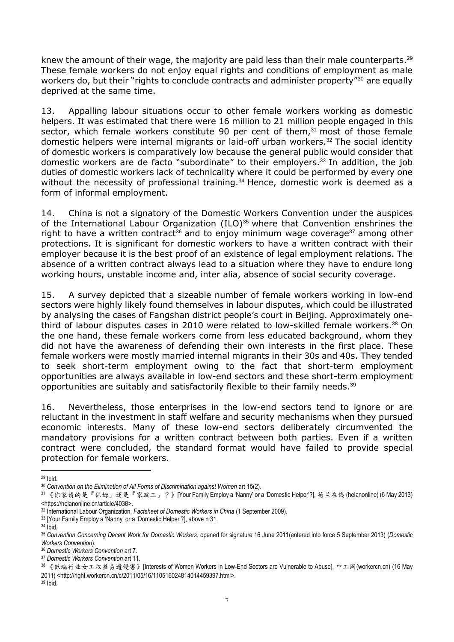knew the amount of their wage, the majority are paid less than their male counterparts.<sup>29</sup> These female workers do not enjoy equal rights and conditions of employment as male workers do, but their "rights to conclude contracts and administer property"<sup>30</sup> are equally deprived at the same time.

13. Appalling labour situations occur to other female workers working as domestic helpers. It was estimated that there were 16 million to 21 million people engaged in this sector, which female workers constitute 90 per cent of them, $31$  most of those female domestic helpers were internal migrants or laid-off urban workers.<sup>32</sup> The social identity of domestic workers is comparatively low because the general public would consider that domestic workers are de facto "subordinate" to their employers.<sup>33</sup> In addition, the job duties of domestic workers lack of technicality where it could be performed by every one without the necessity of professional training.<sup>34</sup> Hence, domestic work is deemed as a form of informal employment.

14. China is not a signatory of the Domestic Workers Convention under the auspices of the International Labour Organization (ILO)<sup>35</sup> where that Convention enshrines the right to have a written contract<sup>36</sup> and to enjoy minimum wage coverage<sup>37</sup> among other protections. It is significant for domestic workers to have a written contract with their employer because it is the best proof of an existence of legal employment relations. The absence of a written contract always lead to a situation where they have to endure long working hours, unstable income and, inter alia, absence of social security coverage.

15. A survey depicted that a sizeable number of female workers working in low-end sectors were highly likely found themselves in labour disputes, which could be illustrated by analysing the cases of Fangshan district people's court in Beijing. Approximately onethird of labour disputes cases in 2010 were related to low-skilled female workers.<sup>38</sup> On the one hand, these female workers come from less educated background, whom they did not have the awareness of defending their own interests in the first place. These female workers were mostly married internal migrants in their 30s and 40s. They tended to seek short-term employment owing to the fact that short-term employment opportunities are always available in low-end sectors and these short-term employment opportunities are suitably and satisfactorily flexible to their family needs. 39

16. Nevertheless, those enterprises in the low-end sectors tend to ignore or are reluctant in the investment in staff welfare and security mechanisms when they pursued economic interests. Many of these low-end sectors deliberately circumvented the mandatory provisions for a written contract between both parties. Even if a written contract were concluded, the standard format would have failed to provide special protection for female workers.

<sup>1</sup> <sup>29</sup> Ibid.

<sup>&</sup>lt;sup>30</sup> Convention on the Elimination of All Forms of Discrimination against Women art 15(2).

<sup>31</sup> 《你家请的是『保姆』还是『家政工』?》[Your Family Employ a 'Nanny' or a 'Domestic Helper'?], 荷兰在线 (helanonline) (6 May 2013) <https://helanonline.cn/article/4038>.

<sup>32</sup> International Labour Organization, *Factsheet of Domestic Workers in China* (1 September 2009).

<sup>33</sup> [Your Family Employ a 'Nanny' or a 'Domestic Helper'?], above n 31.

 $34$  Ibid.

<sup>35</sup> *Convention Concerning Decent Work for Domestic Workers*, opened for signature 16 June 2011(entered into force 5 September 2013) (*Domestic Workers Convention*).

<sup>36</sup> *Domestic Workers Convention* art 7.

<sup>37</sup> *Domestic Workers Convention* art 11.

<sup>38</sup> 《低端行业女工权益易遭侵害》[Interests of Women Workers in Low-End Sectors are Vulnerable to Abuse], 中工网(workercn.cn) (16 May 2011) <http://right.workercn.cn/c/2011/05/16/110516024814014459397.html>.

<sup>39</sup> Ibid.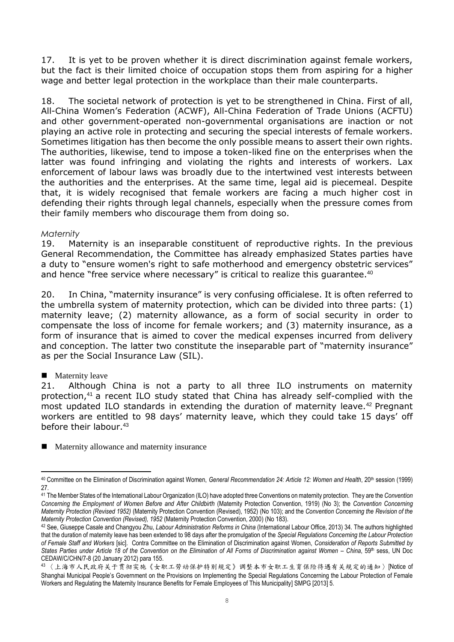17. It is yet to be proven whether it is direct discrimination against female workers, but the fact is their limited choice of occupation stops them from aspiring for a higher wage and better legal protection in the workplace than their male counterparts.

18. The societal network of protection is yet to be strengthened in China. First of all, All-China Women's Federation (ACWF), All-China Federation of Trade Unions (ACFTU) and other government-operated non-governmental organisations are inaction or not playing an active role in protecting and securing the special interests of female workers. Sometimes litigation has then become the only possible means to assert their own rights. The authorities, likewise, tend to impose a token-liked fine on the enterprises when the latter was found infringing and violating the rights and interests of workers. Lax enforcement of labour laws was broadly due to the intertwined vest interests between the authorities and the enterprises. At the same time, legal aid is piecemeal. Despite that, it is widely recognised that female workers are facing a much higher cost in defending their rights through legal channels, especially when the pressure comes from their family members who discourage them from doing so.

## *Maternity*

19. Maternity is an inseparable constituent of reproductive rights. In the previous General Recommendation, the Committee has already emphasized States parties have a duty to "ensure women's right to safe motherhood and emergency obstetric services" and hence "free service where necessary" is critical to realize this quarantee.<sup>40</sup>

20. In China, "maternity insurance" is very confusing officialese. It is often referred to the umbrella system of maternity protection, which can be divided into three parts: (1) maternity leave; (2) maternity allowance, as a form of social security in order to compensate the loss of income for female workers; and (3) maternity insurance, as a form of insurance that is aimed to cover the medical expenses incurred from delivery and conception. The latter two constitute the inseparable part of "maternity insurance" as per the Social Insurance Law (SIL).

# **Maternity leave**

21. Although China is not a party to all three ILO instruments on maternity protection,<sup>41</sup> a recent ILO study stated that China has already self-complied with the most updated ILO standards in extending the duration of maternity leave.<sup>42</sup> Pregnant workers are entitled to 98 days' maternity leave, which they could take 15 days' off before their labour.<sup>43</sup>

**Maternity allowance and maternity insurance** 

<sup>1</sup> <sup>40</sup> Committee on the Elimination of Discrimination against Women, *General Recommendation 24: Article 12: Women and Health*, 20th session (1999) 27.

<sup>41</sup> The Member States of the International Labour Organization (ILO) have adopted three Conventions on maternity protection. They are the *Convention Concerning the Employment of Women Before and After Childbirth* (Maternity Protection Convention, 1919) (No 3); the *Convention Concerning Maternity Protection (Revised 1952)* (Maternity Protection Convention (Revised), 1952) (No 103); and the *Convention Concerning the Revision of the Maternity Protection Convention (Revised), 1952* (Maternity Protection Convention, 2000) (No 183).

<sup>42</sup> See, Giuseppe Casale and Changyou Zhu, *Labour Administration Reforms in China* (International Labour Office, 2013) 34. The authors highlighted that the duration of maternity leave has been extended to 98 days after the promulgation of the *Special Regulations Concerning the Labour Protection of Female Staff and Workers* [sic]. Contra Committee on the Elimination of Discrimination against Women, *Consideration of Reports Submitted by States Parties under Article 18 of the Convention on the Elimination of All Forms of Discrimination against Women – China*, 59th sess, UN Doc CEDAW/C/CHN/7-8 (20 January 2012) para 155.

<sup>43</sup> 〈上海市人民政府关于贯彻实施《女职工劳动保护特别规定》调整本市女职工生育保险待遇有关规定的通知〉[Notice of Shanghai Municipal People's Government on the Provisions on Implementing the Special Regulations Concerning the Labour Protection of Female Workers and Regulating the Maternity Insurance Benefits for Female Employees of This Municipality] SMPG [2013] 5.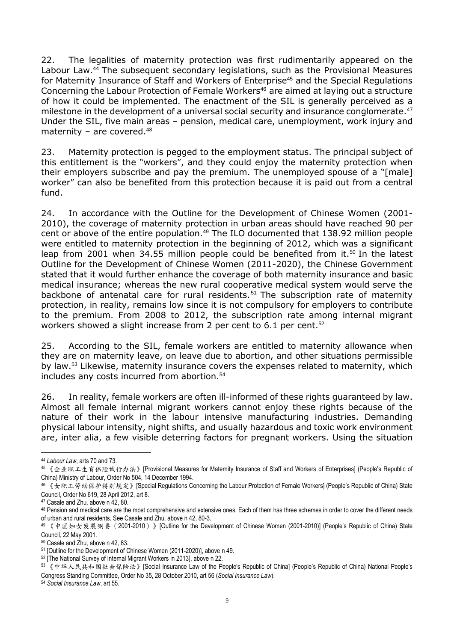22. The legalities of maternity protection was first rudimentarily appeared on the Labour Law.<sup>44</sup> The subsequent secondary legislations, such as the Provisional Measures for Maternity Insurance of Staff and Workers of Enterprise<sup>45</sup> and the Special Regulations Concerning the Labour Protection of Female Workers<sup>46</sup> are aimed at laying out a structure of how it could be implemented. The enactment of the SIL is generally perceived as a milestone in the development of a universal social security and insurance conglomerate.<sup>47</sup> Under the SIL, five main areas – pension, medical care, unemployment, work injury and maternity – are covered. $48$ 

23. Maternity protection is pegged to the employment status. The principal subject of this entitlement is the "workers", and they could enjoy the maternity protection when their employers subscribe and pay the premium. The unemployed spouse of a "[male] worker" can also be benefited from this protection because it is paid out from a central fund.

24. In accordance with the Outline for the Development of Chinese Women (2001- 2010), the coverage of maternity protection in urban areas should have reached 90 per cent or above of the entire population.<sup>49</sup> The ILO documented that 138.92 million people were entitled to maternity protection in the beginning of 2012, which was a significant leap from 2001 when 34.55 million people could be benefited from it.<sup>50</sup> In the latest Outline for the Development of Chinese Women (2011-2020), the Chinese Government stated that it would further enhance the coverage of both maternity insurance and basic medical insurance; whereas the new rural cooperative medical system would serve the backbone of antenatal care for rural residents.<sup>51</sup> The subscription rate of maternity protection, in reality, remains low since it is not compulsory for employers to contribute to the premium. From 2008 to 2012, the subscription rate among internal migrant workers showed a slight increase from 2 per cent to 6.1 per cent.<sup>52</sup>

25. According to the SIL, female workers are entitled to maternity allowance when they are on maternity leave, on leave due to abortion, and other situations permissible by law.<sup>53</sup> Likewise, maternity insurance covers the expenses related to maternity, which includes any costs incurred from abortion.<sup>54</sup>

26. In reality, female workers are often ill-informed of these rights guaranteed by law. Almost all female internal migrant workers cannot enjoy these rights because of the nature of their work in the labour intensive manufacturing industries. Demanding physical labour intensity, night shifts, and usually hazardous and toxic work environment are, inter alia, a few visible deterring factors for pregnant workers. Using the situation

**.** 

<sup>44</sup> *Labour Law*, arts 70 and 73.

<sup>45 《</sup>企业职工生育保险试行办法》[Provisional Measures for Maternity Insurance of Staff and Workers of Enterprises] (People's Republic of China) Ministry of Labour, Order No 504, 14 December 1994.

<sup>&</sup>lt;sup>46</sup> 《女职工劳动保护特别规定》[Special Regulations Concerning the Labour Protection of Female Workers] (People's Republic of China) State Council, Order No 619, 28 April 2012, art 8.

<sup>47</sup> Casale and Zhu, above n 42, 80.

<sup>48</sup> Pension and medical care are the most comprehensive and extensive ones. Each of them has three schemes in order to cover the different needs of urban and rural residents. See Casale and Zhu, above n 42, 80-3.

<sup>49 《</sup>中国妇女发展纲要 (2001-2010) 》[Outline for the Development of Chinese Women (2001-2010)] (People's Republic of China) State Council, 22 May 2001.

<sup>50</sup> Casale and Zhu, above n 42, 83.

<sup>51</sup> [Outline for the Development of Chinese Women (2011-2020)], above n 49.

<sup>52</sup> [The National Survey of Internal Migrant Workers in 2013], above n 22.

<sup>53</sup> 《中华人民共和国社会保险法》[Social Insurance Law of the People's Republic of China] (People's Republic of China) National People's Congress Standing Committee, Order No 35, 28 October 2010, art 56 (*Social Insurance Law*).

<sup>54</sup> *Social Insurance Law*, art 55.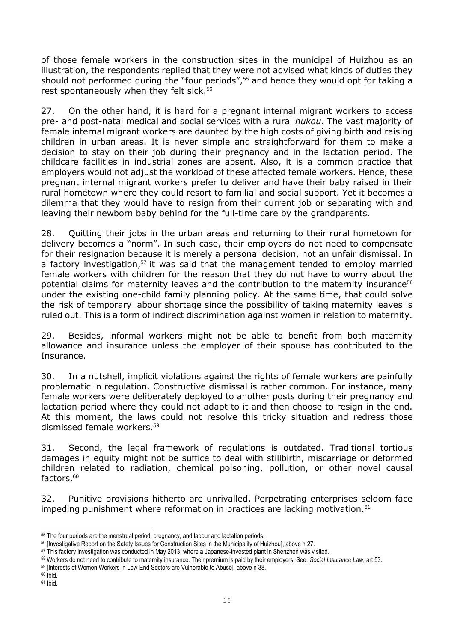of those female workers in the construction sites in the municipal of Huizhou as an illustration, the respondents replied that they were not advised what kinds of duties they should not performed during the "four periods",<sup>55</sup> and hence they would opt for taking a rest spontaneously when they felt sick.<sup>56</sup>

27. On the other hand, it is hard for a pregnant internal migrant workers to access pre- and post-natal medical and social services with a rural *hukou*. The vast majority of female internal migrant workers are daunted by the high costs of giving birth and raising children in urban areas. It is never simple and straightforward for them to make a decision to stay on their job during their pregnancy and in the lactation period. The childcare facilities in industrial zones are absent. Also, it is a common practice that employers would not adjust the workload of these affected female workers. Hence, these pregnant internal migrant workers prefer to deliver and have their baby raised in their rural hometown where they could resort to familial and social support. Yet it becomes a dilemma that they would have to resign from their current job or separating with and leaving their newborn baby behind for the full-time care by the grandparents.

28. Quitting their jobs in the urban areas and returning to their rural hometown for delivery becomes a "norm". In such case, their employers do not need to compensate for their resignation because it is merely a personal decision, not an unfair dismissal. In a factory investigation.<sup>57</sup> it was said that the management tended to employ married female workers with children for the reason that they do not have to worry about the potential claims for maternity leaves and the contribution to the maternity insurance<sup>58</sup> under the existing one-child family planning policy. At the same time, that could solve the risk of temporary labour shortage since the possibility of taking maternity leaves is ruled out. This is a form of indirect discrimination against women in relation to maternity.

29. Besides, informal workers might not be able to benefit from both maternity allowance and insurance unless the employer of their spouse has contributed to the Insurance.

30. In a nutshell, implicit violations against the rights of female workers are painfully problematic in regulation. Constructive dismissal is rather common. For instance, many female workers were deliberately deployed to another posts during their pregnancy and lactation period where they could not adapt to it and then choose to resign in the end. At this moment, the laws could not resolve this tricky situation and redress those dismissed female workers. 59

31. Second, the legal framework of regulations is outdated. Traditional tortious damages in equity might not be suffice to deal with stillbirth, miscarriage or deformed children related to radiation, chemical poisoning, pollution, or other novel causal factors.<sup>60</sup>

32. Punitive provisions hitherto are unrivalled. Perpetrating enterprises seldom face impeding punishment where reformation in practices are lacking motivation.<sup>61</sup>

**<sup>.</sup>** <sup>55</sup> The four periods are the menstrual period, pregnancy, and labour and lactation periods.

<sup>56</sup> [Investigative Report on the Safety Issues for Construction Sites in the Municipality of Huizhou], above n 27.

<sup>57</sup> This factory investigation was conducted in May 2013, where a Japanese-invested plant in Shenzhen was visited.

<sup>58</sup> Workers do not need to contribute to maternity insurance. Their premium is paid by their employers. See, *Social Insurance Law*, art 53.

<sup>59</sup> [Interests of Women Workers in Low-End Sectors are Vulnerable to Abuse], above n 38.

 $60$   $Ibid.$ 

<sup>61</sup> Ibid.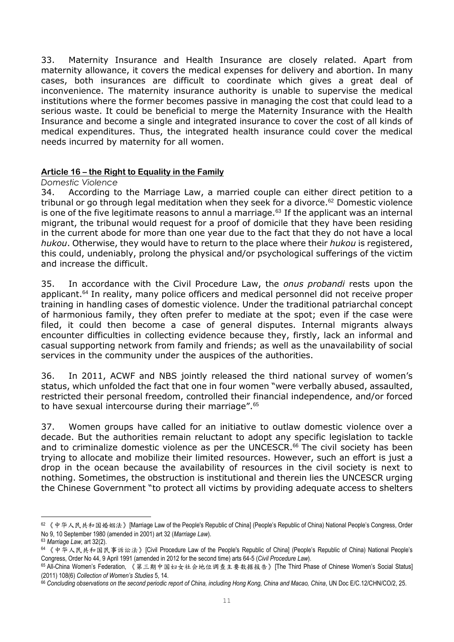33. Maternity Insurance and Health Insurance are closely related. Apart from maternity allowance, it covers the medical expenses for delivery and abortion. In many cases, both insurances are difficult to coordinate which gives a great deal of inconvenience. The maternity insurance authority is unable to supervise the medical institutions where the former becomes passive in managing the cost that could lead to a serious waste. It could be beneficial to merge the Maternity Insurance with the Health Insurance and become a single and integrated insurance to cover the cost of all kinds of medical expenditures. Thus, the integrated health insurance could cover the medical needs incurred by maternity for all women.

### **Article 16 – the Right to Equality in the Family**

### *Domestic Violence*

34. According to the Marriage Law, a married couple can either direct petition to a tribunal or go through legal meditation when they seek for a divorce.<sup>62</sup> Domestic violence is one of the five legitimate reasons to annul a marriage. $63$  If the applicant was an internal migrant, the tribunal would request for a proof of domicile that they have been residing in the current abode for more than one year due to the fact that they do not have a local *hukou*. Otherwise, they would have to return to the place where their *hukou* is registered, this could, undeniably, prolong the physical and/or psychological sufferings of the victim and increase the difficult.

35. In accordance with the Civil Procedure Law, the *onus probandi* rests upon the applicant.<sup>64</sup> In reality, many police officers and medical personnel did not receive proper training in handling cases of domestic violence. Under the traditional patriarchal concept of harmonious family, they often prefer to mediate at the spot; even if the case were filed, it could then become a case of general disputes. Internal migrants always encounter difficulties in collecting evidence because they, firstly, lack an informal and casual supporting network from family and friends; as well as the unavailability of social services in the community under the auspices of the authorities.

36. In 2011, ACWF and NBS jointly released the third national survey of women's status, which unfolded the fact that one in four women "were verbally abused, assaulted, restricted their personal freedom, controlled their financial independence, and/or forced to have sexual intercourse during their marriage".<sup>65</sup>

37. Women groups have called for an initiative to outlaw domestic violence over a decade. But the authorities remain reluctant to adopt any specific legislation to tackle and to criminalize domestic violence as per the UNCESCR.<sup>66</sup> The civil society has been trying to allocate and mobilize their limited resources. However, such an effort is just a drop in the ocean because the availability of resources in the civil society is next to nothing. Sometimes, the obstruction is institutional and therein lies the UNCESCR urging the Chinese Government "to protect all victims by providing adequate access to shelters

**.** 

<sup>62 《</sup>中华人民共和国婚姻法》[Marriage Law of the People's Republic of China] (People's Republic of China) National People's Congress, Order No 9, 10 September 1980 (amended in 2001) art 32 (*Marriage Law*).

<sup>63</sup> *Marriage Law*, art 32(2).

<sup>64</sup> 《中华人民共和国民事诉讼法》[Civil Procedure Law of the People's Republic of China] (People's Republic of China) National People's Congress, Order No 44, 9 April 1991 (amended in 2012 for the second time) arts 64-5 (*Civil Procedure Law*).

<sup>65</sup> All-China Women's Federation, 《第三期中国妇女社会地位调查主要数据报告》[The Third Phase of Chinese Women's Social Status] (2011) 108(6) *Collection of Women's Studies* 5, 14.

<sup>&</sup>lt;sup>66</sup> Concluding observations on the second periodic report of China, including Hong Kong, China and Macao, China, UN Doc E/C.12/CHN/CO/2, 25.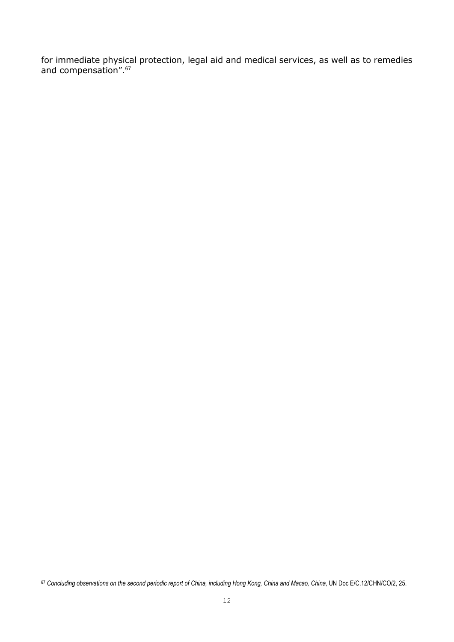for immediate physical protection, legal aid and medical services, as well as to remedies and compensation".<sup>67</sup>

**<sup>.</sup>** <sup>67</sup> *Concluding observations on the second periodic report of China, including Hong Kong, China and Macao, China*, UN Doc E/C.12/CHN/CO/2, 25.